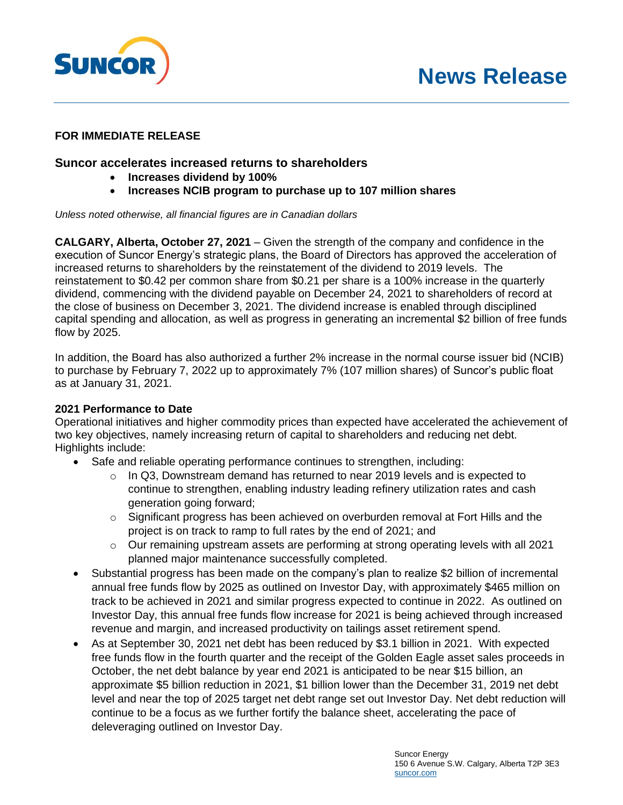



# **FOR IMMEDIATE RELEASE**

# **Suncor accelerates increased returns to shareholders**

- **Increases dividend by 100%**
- **Increases NCIB program to purchase up to 107 million shares**

#### *Unless noted otherwise, all financial figures are in Canadian dollars*

**CALGARY, Alberta, October 27, 2021** – Given the strength of the company and confidence in the execution of Suncor Energy's strategic plans, the Board of Directors has approved the acceleration of increased returns to shareholders by the reinstatement of the dividend to 2019 levels. The reinstatement to \$0.42 per common share from \$0.21 per share is a 100% increase in the quarterly dividend, commencing with the dividend payable on December 24, 2021 to shareholders of record at the close of business on December 3, 2021. The dividend increase is enabled through disciplined capital spending and allocation, as well as progress in generating an incremental \$2 billion of free funds flow by 2025.

In addition, the Board has also authorized a further 2% increase in the normal course issuer bid (NCIB) to purchase by February 7, 2022 up to approximately 7% (107 million shares) of Suncor's public float as at January 31, 2021.

### **2021 Performance to Date**

Operational initiatives and higher commodity prices than expected have accelerated the achievement of two key objectives, namely increasing return of capital to shareholders and reducing net debt. Highlights include:

- Safe and reliable operating performance continues to strengthen, including:
	- $\circ$  In Q3, Downstream demand has returned to near 2019 levels and is expected to continue to strengthen, enabling industry leading refinery utilization rates and cash generation going forward;
	- $\circ$  Significant progress has been achieved on overburden removal at Fort Hills and the project is on track to ramp to full rates by the end of 2021; and
	- $\circ$  Our remaining upstream assets are performing at strong operating levels with all 2021 planned major maintenance successfully completed.
- Substantial progress has been made on the company's plan to realize \$2 billion of incremental annual free funds flow by 2025 as outlined on Investor Day, with approximately \$465 million on track to be achieved in 2021 and similar progress expected to continue in 2022. As outlined on Investor Day, this annual free funds flow increase for 2021 is being achieved through increased revenue and margin, and increased productivity on tailings asset retirement spend.
- As at September 30, 2021 net debt has been reduced by \$3.1 billion in 2021. With expected free funds flow in the fourth quarter and the receipt of the Golden Eagle asset sales proceeds in October, the net debt balance by year end 2021 is anticipated to be near \$15 billion, an approximate \$5 billion reduction in 2021, \$1 billion lower than the December 31, 2019 net debt level and near the top of 2025 target net debt range set out Investor Day. Net debt reduction will continue to be a focus as we further fortify the balance sheet, accelerating the pace of deleveraging outlined on Investor Day.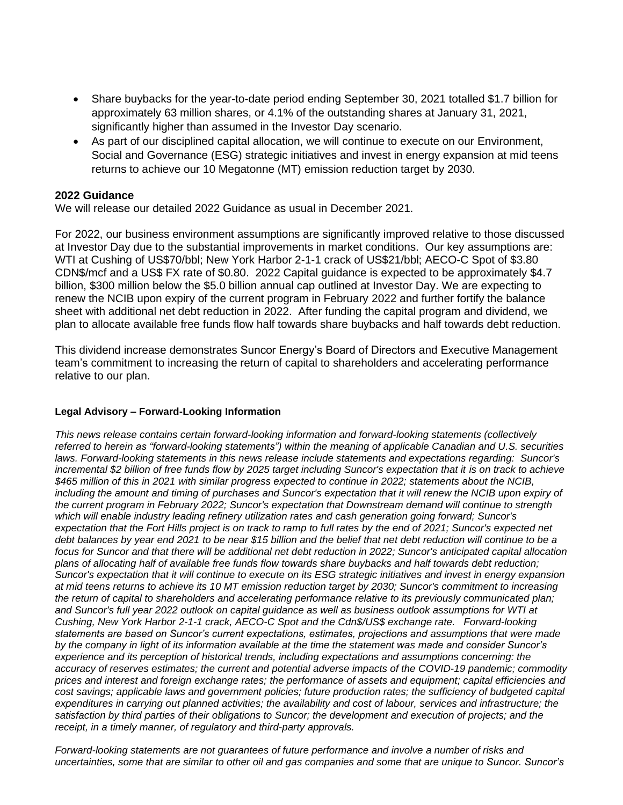- Share buybacks for the year-to-date period ending September 30, 2021 totalled \$1.7 billion for approximately 63 million shares, or 4.1% of the outstanding shares at January 31, 2021, significantly higher than assumed in the Investor Day scenario.
- As part of our disciplined capital allocation, we will continue to execute on our Environment, Social and Governance (ESG) strategic initiatives and invest in energy expansion at mid teens returns to achieve our 10 Megatonne (MT) emission reduction target by 2030.

## **2022 Guidance**

We will release our detailed 2022 Guidance as usual in December 2021.

For 2022, our business environment assumptions are significantly improved relative to those discussed at Investor Day due to the substantial improvements in market conditions. Our key assumptions are: WTI at Cushing of US\$70/bbl; New York Harbor 2-1-1 crack of US\$21/bbl; AECO-C Spot of \$3.80 CDN\$/mcf and a US\$ FX rate of \$0.80. 2022 Capital guidance is expected to be approximately \$4.7 billion, \$300 million below the \$5.0 billion annual cap outlined at Investor Day. We are expecting to renew the NCIB upon expiry of the current program in February 2022 and further fortify the balance sheet with additional net debt reduction in 2022. After funding the capital program and dividend, we plan to allocate available free funds flow half towards share buybacks and half towards debt reduction.

This dividend increase demonstrates Suncor Energy's Board of Directors and Executive Management team's commitment to increasing the return of capital to shareholders and accelerating performance relative to our plan.

### **Legal Advisory – Forward-Looking Information**

*This news release contains certain forward-looking information and forward-looking statements (collectively referred to herein as "forward-looking statements") within the meaning of applicable Canadian and U.S. securities laws. Forward-looking statements in this news release include statements and expectations regarding: Suncor's incremental \$2 billion of free funds flow by 2025 target including Suncor's expectation that it is on track to achieve \$465 million of this in 2021 with similar progress expected to continue in 2022; statements about the NCIB, including the amount and timing of purchases and Suncor's expectation that it will renew the NCIB upon expiry of the current program in February 2022; Suncor's expectation that Downstream demand will continue to strength which will enable industry leading refinery utilization rates and cash generation going forward; Suncor's expectation that the Fort Hills project is on track to ramp to full rates by the end of 2021; Suncor's expected net debt balances by year end 2021 to be near \$15 billion and the belief that net debt reduction will continue to be a focus for Suncor and that there will be additional net debt reduction in 2022; Suncor's anticipated capital allocation plans of allocating half of available free funds flow towards share buybacks and half towards debt reduction; Suncor's expectation that it will continue to execute on its ESG strategic initiatives and invest in energy expansion at mid teens returns to achieve its 10 MT emission reduction target by 2030; Suncor's commitment to increasing*  the return of capital to shareholders and accelerating performance relative to its previously communicated plan; *and Suncor's full year 2022 outlook on capital guidance as well as business outlook assumptions for WTI at Cushing, New York Harbor 2-1-1 crack, AECO-C Spot and the Cdn\$/US\$ exchange rate. Forward-looking statements are based on Suncor's current expectations, estimates, projections and assumptions that were made by the company in light of its information available at the time the statement was made and consider Suncor's experience and its perception of historical trends, including expectations and assumptions concerning: the accuracy of reserves estimates; the current and potential adverse impacts of the COVID-19 pandemic; commodity prices and interest and foreign exchange rates; the performance of assets and equipment; capital efficiencies and cost savings; applicable laws and government policies; future production rates; the sufficiency of budgeted capital expenditures in carrying out planned activities; the availability and cost of labour, services and infrastructure; the satisfaction by third parties of their obligations to Suncor; the development and execution of projects; and the receipt, in a timely manner, of regulatory and third-party approvals.*

*Forward-looking statements are not guarantees of future performance and involve a number of risks and uncertainties, some that are similar to other oil and gas companies and some that are unique to Suncor. Suncor's*